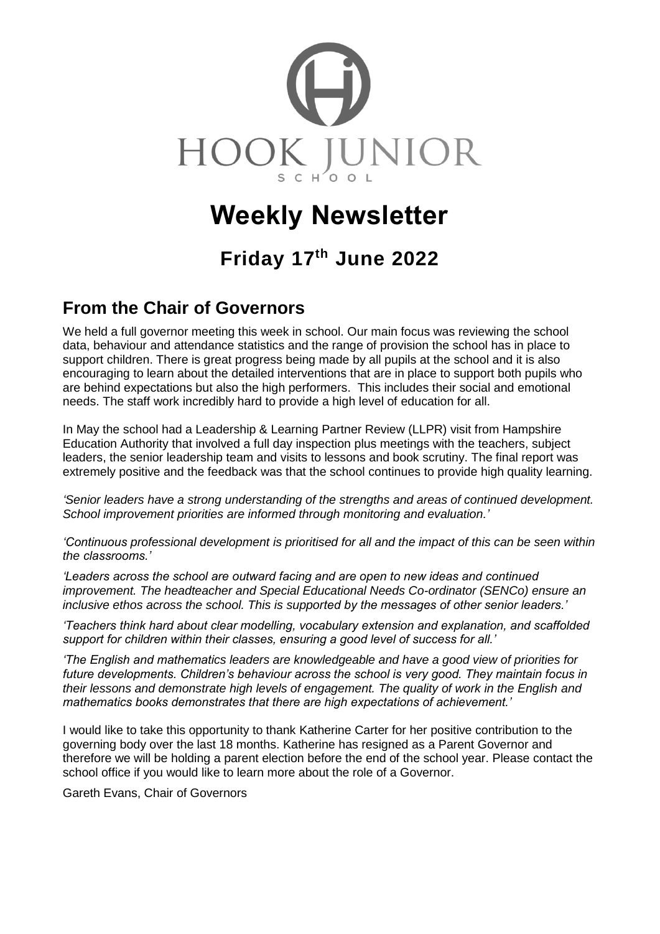

# **Weekly Newsletter**

# **Friday 17 th June 2022**

### **From the Chair of Governors**

We held a full governor meeting this week in school. Our main focus was reviewing the school data, behaviour and attendance statistics and the range of provision the school has in place to support children. There is great progress being made by all pupils at the school and it is also encouraging to learn about the detailed interventions that are in place to support both pupils who are behind expectations but also the high performers. This includes their social and emotional needs. The staff work incredibly hard to provide a high level of education for all.

In May the school had a Leadership & Learning Partner Review (LLPR) visit from Hampshire Education Authority that involved a full day inspection plus meetings with the teachers, subject leaders, the senior leadership team and visits to lessons and book scrutiny. The final report was extremely positive and the feedback was that the school continues to provide high quality learning.

*'Senior leaders have a strong understanding of the strengths and areas of continued development. School improvement priorities are informed through monitoring and evaluation.'*

*'Continuous professional development is prioritised for all and the impact of this can be seen within the classrooms.'*

*'Leaders across the school are outward facing and are open to new ideas and continued improvement. The headteacher and Special Educational Needs Co-ordinator (SENCo) ensure an inclusive ethos across the school. This is supported by the messages of other senior leaders.'* 

*'Teachers think hard about clear modelling, vocabulary extension and explanation, and scaffolded support for children within their classes, ensuring a good level of success for all.'*

*'The English and mathematics leaders are knowledgeable and have a good view of priorities for future developments. Children's behaviour across the school is very good. They maintain focus in their lessons and demonstrate high levels of engagement. The quality of work in the English and mathematics books demonstrates that there are high expectations of achievement.'*

I would like to take this opportunity to thank Katherine Carter for her positive contribution to the governing body over the last 18 months. Katherine has resigned as a Parent Governor and therefore we will be holding a parent election before the end of the school year. Please contact the school office if you would like to learn more about the role of a Governor.

Gareth Evans, Chair of Governors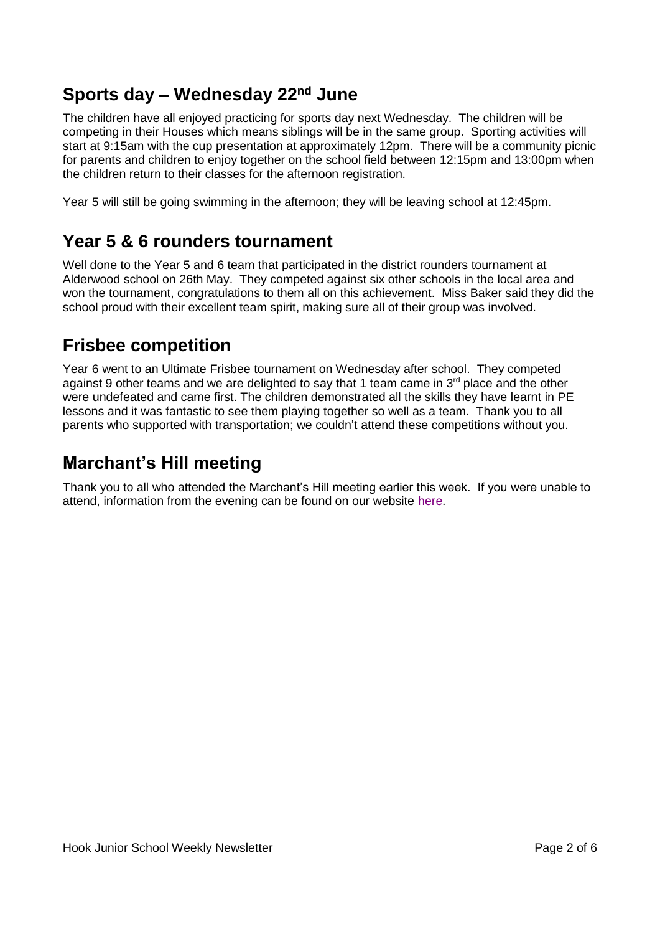## **Sports day – Wednesday 22nd June**

The children have all enjoyed practicing for sports day next Wednesday. The children will be competing in their Houses which means siblings will be in the same group. Sporting activities will start at 9:15am with the cup presentation at approximately 12pm. There will be a community picnic for parents and children to enjoy together on the school field between 12:15pm and 13:00pm when the children return to their classes for the afternoon registration.

Year 5 will still be going swimming in the afternoon; they will be leaving school at 12:45pm.

## **Year 5 & 6 rounders tournament**

Well done to the Year 5 and 6 team that participated in the district rounders tournament at Alderwood school on 26th May. They competed against six other schools in the local area and won the tournament, congratulations to them all on this achievement. Miss Baker said they did the school proud with their excellent team spirit, making sure all of their group was involved.

## **Frisbee competition**

Year 6 went to an Ultimate Frisbee tournament on Wednesday after school. They competed against 9 other teams and we are delighted to say that 1 team came in 3<sup>rd</sup> place and the other were undefeated and came first. The children demonstrated all the skills they have learnt in PE lessons and it was fantastic to see them playing together so well as a team. Thank you to all parents who supported with transportation; we couldn't attend these competitions without you.

## **Marchant's Hill meeting**

Thank you to all who attended the Marchant's Hill meeting earlier this week. If you were unable to attend, information from the evening can be found on our website [here.](https://www.hook-jun.hants.sch.uk/index.php/parents/marchants-hill)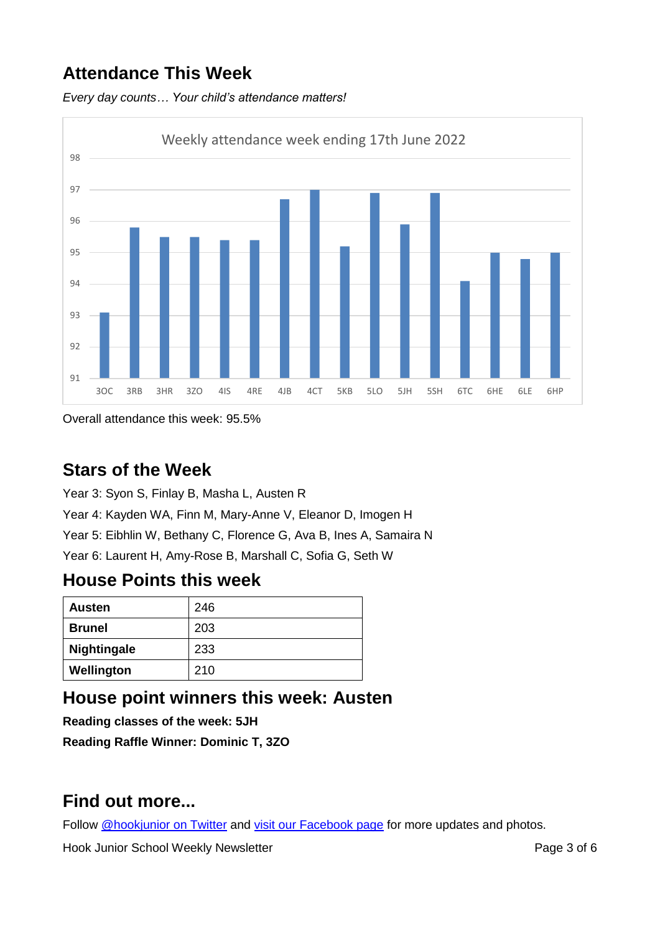## **Attendance This Week**

*Every day counts… Your child's attendance matters!*



Overall attendance this week: 95.5%

## **Stars of the Week**

Year 3: Syon S, Finlay B, Masha L, Austen R Year 4: Kayden WA, Finn M, Mary-Anne V, Eleanor D, Imogen H Year 5: Eibhlin W, Bethany C, Florence G, Ava B, Ines A, Samaira N Year 6: Laurent H, Amy-Rose B, Marshall C, Sofia G, Seth W

### **House Points this week**

| <b>Austen</b>      | 246 |
|--------------------|-----|
| <b>Brunel</b>      | 203 |
| <b>Nightingale</b> | 233 |
| Wellington         | 210 |

## **House point winners this week: Austen**

**Reading classes of the week: 5JH**

**Reading Raffle Winner: Dominic T, 3ZO**

## **Find out more...**

Follow [@hookjunior on Twitter](https://twitter.com/hookjunior) and [visit our Facebook page](https://en-gb.facebook.com/hookjuniorschool/) for more updates and photos.

Hook Junior School Weekly Newsletter **Page 3 of 6** and  $P$ age 3 of 6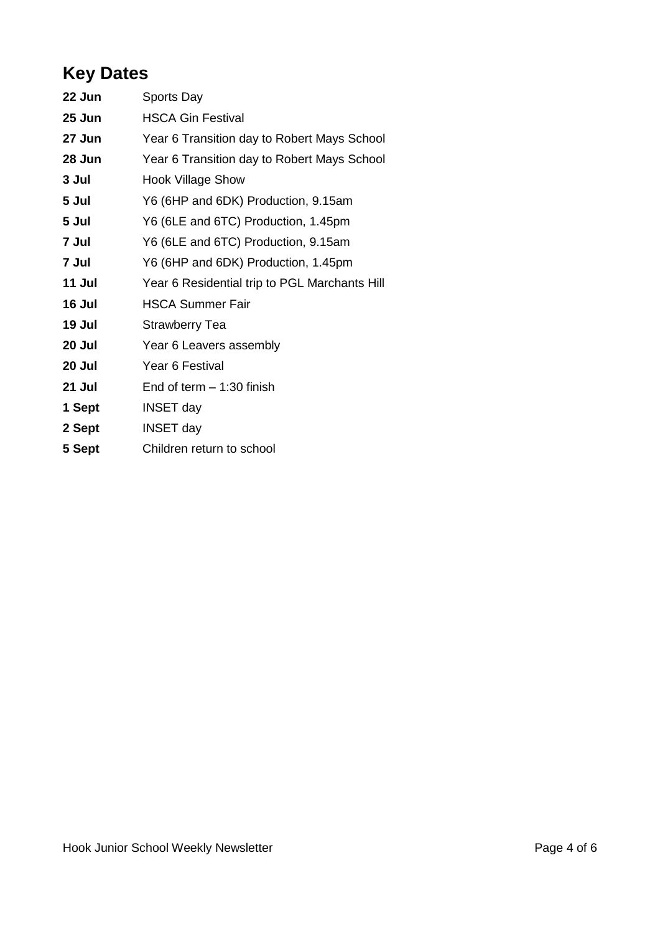## **Key Dates**

| 22 Jun | Sports Day                                    |
|--------|-----------------------------------------------|
| 25 Jun | <b>HSCA Gin Festival</b>                      |
| 27 Jun | Year 6 Transition day to Robert Mays School   |
| 28 Jun | Year 6 Transition day to Robert Mays School   |
| 3 Jul  | <b>Hook Village Show</b>                      |
| 5 Jul  | Y6 (6HP and 6DK) Production, 9.15am           |
| 5 Jul  | Y6 (6LE and 6TC) Production, 1.45pm           |
| 7 Jul  | Y6 (6LE and 6TC) Production, 9.15am           |
| 7 Jul  | Y6 (6HP and 6DK) Production, 1.45pm           |
| 11 Jul | Year 6 Residential trip to PGL Marchants Hill |
| 16 Jul | <b>HSCA Summer Fair</b>                       |
| 19 Jul | <b>Strawberry Tea</b>                         |
| 20 Jul | Year 6 Leavers assembly                       |
| 20 Jul | Year 6 Festival                               |
| 21 Jul | End of term $-1:30$ finish                    |
| 1 Sept | <b>INSET day</b>                              |
| 2 Sept | <b>INSET day</b>                              |
|        |                                               |

**Sept** Children return to school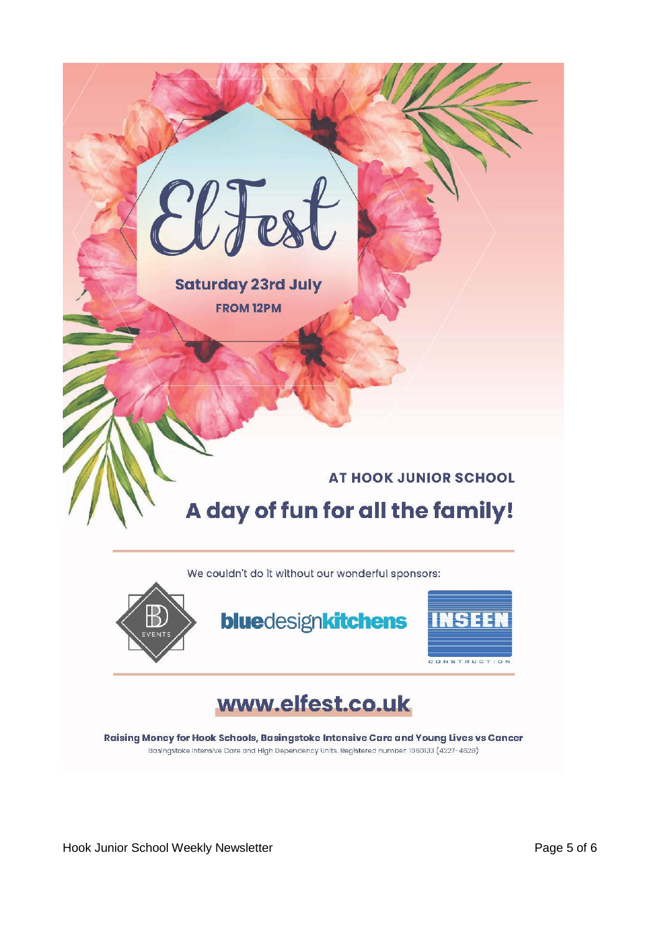

Hook Junior School Weekly Newsletter **Page 5 of 6** and  $P$